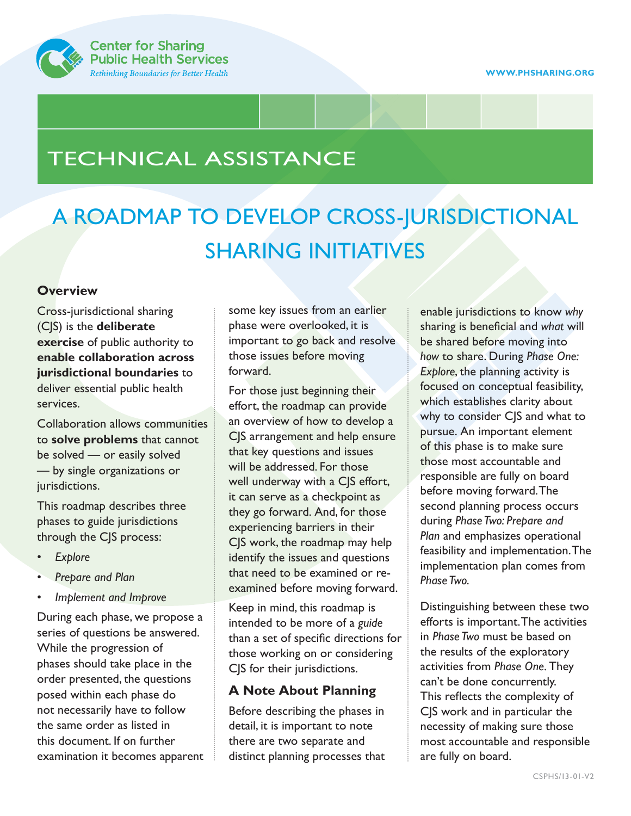

## TECHNICAL ASSISTANCE

# A ROADMAP TO DEVELOP CROSS-JURISDICTIONAL SHARING INITIATIVES

### **Overview**

Cross-jurisdictional sharing (CJS) is the **deliberate exercise** of public authority to **enable collaboration across jurisdictional boundaries** to deliver essential public health services.

Collaboration allows communities to **solve problems** that cannot be solved — or easily solved — by single organizations or jurisdictions.

This roadmap describes three phases to guide jurisdictions through the CJS process:

- *Explore*
- *Prepare and Plan*
- *Implement and Improve*

During each phase, we propose a series of questions be answered. While the progression of phases should take place in the order presented, the questions posed within each phase do not necessarily have to follow the same order as listed in this document. If on further examination it becomes apparent some key issues from an earlier phase were overlooked, it is important to go back and resolve those issues before moving forward.

For those just beginning their effort, the roadmap can provide an overview of how to develop a CJS arrangement and help ensure that key questions and issues will be addressed. For those well underway with a CJS effort, it can serve as a checkpoint as they go forward. And, for those experiencing barriers in their CJS work, the roadmap may help identify the issues and questions that need to be examined or reexamined before moving forward.

Keep in mind, this roadmap is intended to be more of a *guide* than a set of specific directions for those working on or considering CJS for their jurisdictions.

### **A Note About Planning**

Before describing the phases in detail, it is important to note there are two separate and distinct planning processes that

enable jurisdictions to know *why* sharing is beneficial and *what* will be shared before moving into *how* to share. During *Phase One: Explore*, the planning activity is focused on conceptual feasibility, which establishes clarity about why to consider CJS and what to pursue. An important element of this phase is to make sure those most accountable and responsible are fully on board before moving forward. The second planning process occurs during *Phase Two: Prepare and Plan* and emphasizes operational feasibility and implementation. The implementation plan comes from *Phase Two.*

Distinguishing between these two efforts is important. The activities in *Phase Two* must be based on the results of the exploratory activities from *Phase One.* They can't be done concurrently. This reflects the complexity of CJS work and in particular the necessity of making sure those most accountable and responsible are fully on board.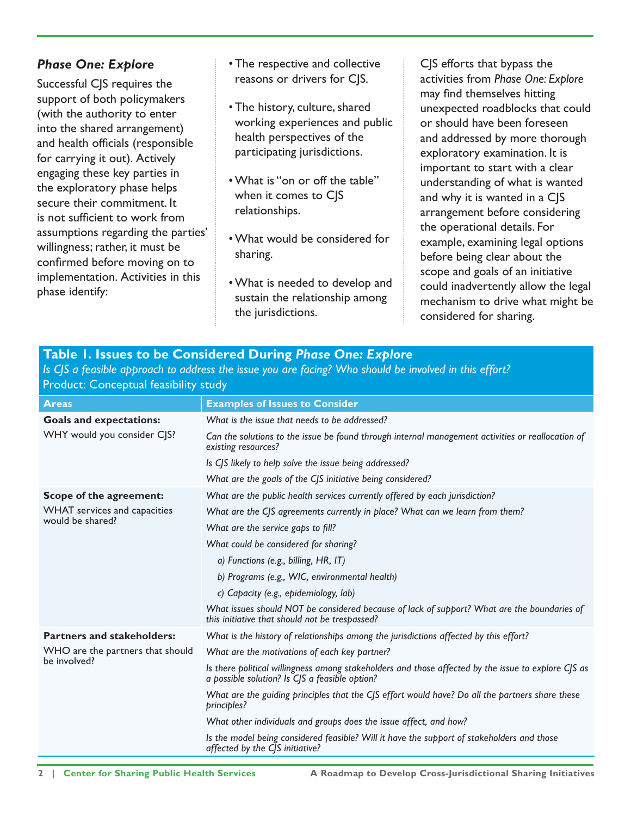### *Phase One: Explore*

Successful CJS requires the support of both policymakers (with the authority to enter into the shared arrangement) and health officials (responsible for carrying it out). Actively engaging these key parties in the exploratory phase helps secure their commitment. It is not sufficient to work from assumptions regarding the parties' willingness; rather, it must be confirmed before moving on to implementation. Activities in this phase identify:

- The respective and collective reasons or drivers for CJS.
- The history, culture, shared working experiences and public health perspectives of the participating jurisdictions.
- What is "on or off the table" when it comes to CIS relationships.
- What would be considered for sharing.
- What is needed to develop and sustain the relationship among the jurisdictions.

CJS efforts that bypass the activities from *Phase One: Explore*  may find themselves hitting unexpected roadblocks that could or should have been foreseen and addressed by more thorough exploratory examination. It is important to start with a clear understanding of what is wanted and why it is wanted in a CJS arrangement before considering the operational details. For example, examining legal options before being clear about the scope and goals of an initiative could inadvertently allow the legal mechanism to drive what might be considered for sharing.

| <b>Table 1. Issues to be Considered During Phase One: Explore</b>                                      |  |
|--------------------------------------------------------------------------------------------------------|--|
| Is CJS a feasible approach to address the issue you are facing? Who should be involved in this effort? |  |
| <b>Product: Conceptual feasibility study</b>                                                           |  |
|                                                                                                        |  |

| <b>Areas</b>                                                                | <b>Examples of Issues to Consider</b>                                                                                                                 |
|-----------------------------------------------------------------------------|-------------------------------------------------------------------------------------------------------------------------------------------------------|
| <b>Goals and expectations:</b>                                              | What is the issue that needs to be addressed?                                                                                                         |
| WHY would you consider CJS?                                                 | Can the solutions to the issue be found through internal management activities or reallocation of<br>existing resources?                              |
|                                                                             | Is CJS likely to help solve the issue being addressed?                                                                                                |
|                                                                             | What are the goals of the CJS initiative being considered?                                                                                            |
| Scope of the agreement:<br>WHAT services and capacities<br>would be shared? | What are the public health services currently offered by each jurisdiction?                                                                           |
|                                                                             | What are the CJS agreements currently in place? What can we learn from them?                                                                          |
|                                                                             | What are the service gaps to fill?                                                                                                                    |
|                                                                             | What could be considered for sharing?                                                                                                                 |
|                                                                             | a) Functions (e.g., billing, HR, IT)                                                                                                                  |
|                                                                             | b) Programs (e.g., WIC, environmental health)                                                                                                         |
|                                                                             | c) Capacity (e.g., epidemiology, lab)                                                                                                                 |
|                                                                             | What issues should NOT be considered because of lack of support? What are the boundaries of<br>this initiative that should not be trespassed?         |
| <b>Partners and stakeholders:</b>                                           | What is the history of relationships among the jurisdictions affected by this effort?                                                                 |
| WHO are the partners that should                                            | What are the motivations of each key partner?                                                                                                         |
| be involved?                                                                | Is there political willingness among stakeholders and those affected by the issue to explore CJS as<br>a possible solution? Is CJS a feasible option? |
|                                                                             | What are the guiding principles that the CJS effort would have? Do all the partners share these<br>principles?                                        |
|                                                                             | What other individuals and groups does the issue affect, and how?                                                                                     |
|                                                                             | Is the model being considered feasible? Will it have the support of stakeholders and those<br>affected by the CJS initiative?                         |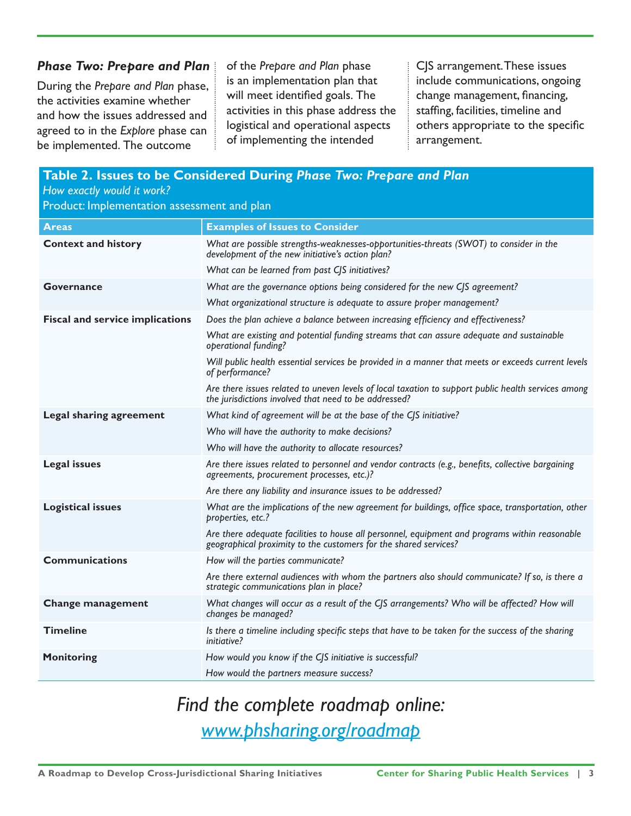#### *Phase Two: Prepare and Plan*

During the *Prepare and Plan* phase, the activities examine whether and how the issues addressed and agreed to in the *Explore* phase can be implemented. The outcome

of the *Prepare and Plan* phase is an implementation plan that will meet identified goals. The activities in this phase address the logistical and operational aspects of implementing the intended

CJS arrangement. These issues include communications, ongoing change management, financing, staffing, facilities, timeline and others appropriate to the specific arrangement.

| Table 2. Issues to be Considered During Phase Two: Prepare and Plan<br>How exactly would it work?<br>Product: Implementation assessment and plan |                                                                                                                                                                    |  |
|--------------------------------------------------------------------------------------------------------------------------------------------------|--------------------------------------------------------------------------------------------------------------------------------------------------------------------|--|
| <b>Areas</b>                                                                                                                                     | <b>Examples of Issues to Consider</b>                                                                                                                              |  |
| <b>Context and history</b>                                                                                                                       | What are possible strengths-weaknesses-opportunities-threats (SWOT) to consider in the<br>development of the new initiative's action plan?                         |  |
|                                                                                                                                                  | What can be learned from past CJS initiatives?                                                                                                                     |  |
| <b>Governance</b>                                                                                                                                | What are the governance options being considered for the new CJS agreement?                                                                                        |  |
|                                                                                                                                                  | What organizational structure is adequate to assure proper management?                                                                                             |  |
| <b>Fiscal and service implications</b>                                                                                                           | Does the plan achieve a balance between increasing efficiency and effectiveness?                                                                                   |  |
|                                                                                                                                                  | What are existing and potential funding streams that can assure adequate and sustainable<br>operational funding?                                                   |  |
|                                                                                                                                                  | Will public health essential services be provided in a manner that meets or exceeds current levels<br>of performance?                                              |  |
|                                                                                                                                                  | Are there issues related to uneven levels of local taxation to support public health services among<br>the jurisdictions involved that need to be addressed?       |  |
| Legal sharing agreement                                                                                                                          | What kind of agreement will be at the base of the CJS initiative?                                                                                                  |  |
|                                                                                                                                                  | Who will have the authority to make decisions?                                                                                                                     |  |
|                                                                                                                                                  | Who will have the authority to allocate resources?                                                                                                                 |  |
| <b>Legal issues</b>                                                                                                                              | Are there issues related to personnel and vendor contracts (e.g., benefits, collective bargaining<br>agreements, procurement processes, etc.)?                     |  |
|                                                                                                                                                  | Are there any liability and insurance issues to be addressed?                                                                                                      |  |
| <b>Logistical issues</b>                                                                                                                         | What are the implications of the new agreement for buildings, office space, transportation, other<br>properties, etc.?                                             |  |
|                                                                                                                                                  | Are there adequate facilities to house all personnel, equipment and programs within reasonable<br>geographical proximity to the customers for the shared services? |  |
| <b>Communications</b>                                                                                                                            | How will the parties communicate?                                                                                                                                  |  |
|                                                                                                                                                  | Are there external audiences with whom the partners also should communicate? If so, is there a<br>strategic communications plan in place?                          |  |
| <b>Change management</b>                                                                                                                         | What changes will occur as a result of the CJS arrangements? Who will be affected? How will<br>changes be managed?                                                 |  |
| <b>Timeline</b>                                                                                                                                  | Is there a timeline including specific steps that have to be taken for the success of the sharing<br><i>initiative?</i>                                            |  |
| <b>Monitoring</b>                                                                                                                                | How would you know if the CJS initiative is successful?                                                                                                            |  |
|                                                                                                                                                  | How would the partners measure success?                                                                                                                            |  |

### *Find the complete roadmap online: www.phsharing.org/roadmap*